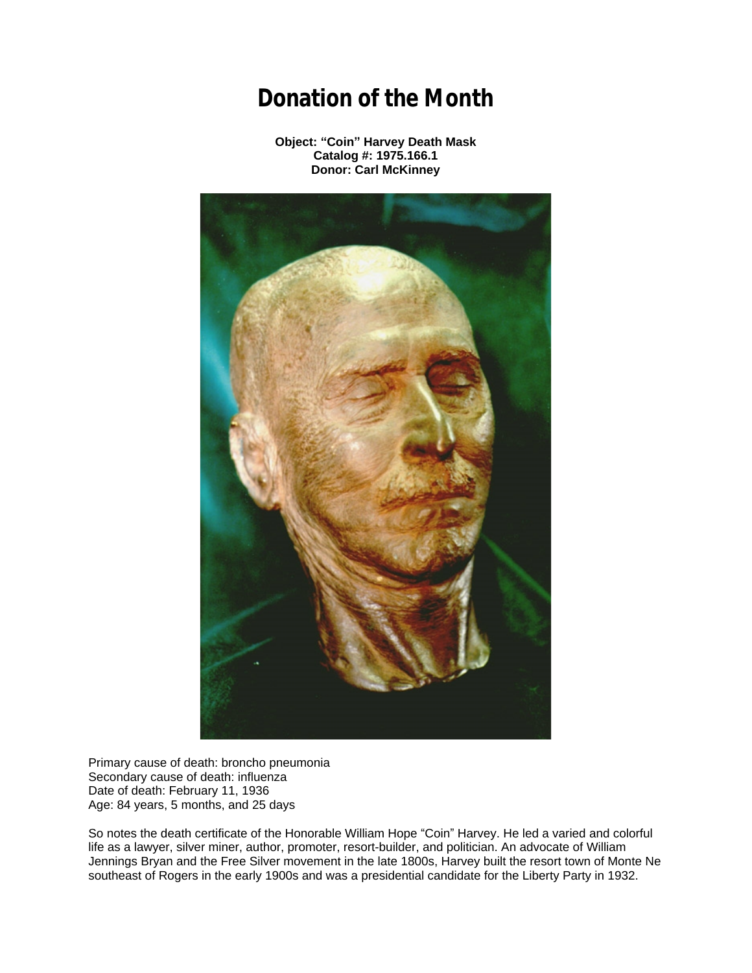## **Donation of the Month**

**Object: "Coin" Harvey Death Mask Catalog #: 1975.166.1 Donor: Carl McKinney**



Primary cause of death: broncho pneumonia Secondary cause of death: influenza Date of death: February 11, 1936 Age: 84 years, 5 months, and 25 days

So notes the death certificate of the Honorable William Hope "Coin" Harvey. He led a varied and colorful life as a lawyer, silver miner, author, promoter, resort-builder, and politician. An advocate of William Jennings Bryan and the Free Silver movement in the late 1800s, Harvey built the resort town of Monte Ne southeast of Rogers in the early 1900s and was a presidential candidate for the Liberty Party in 1932.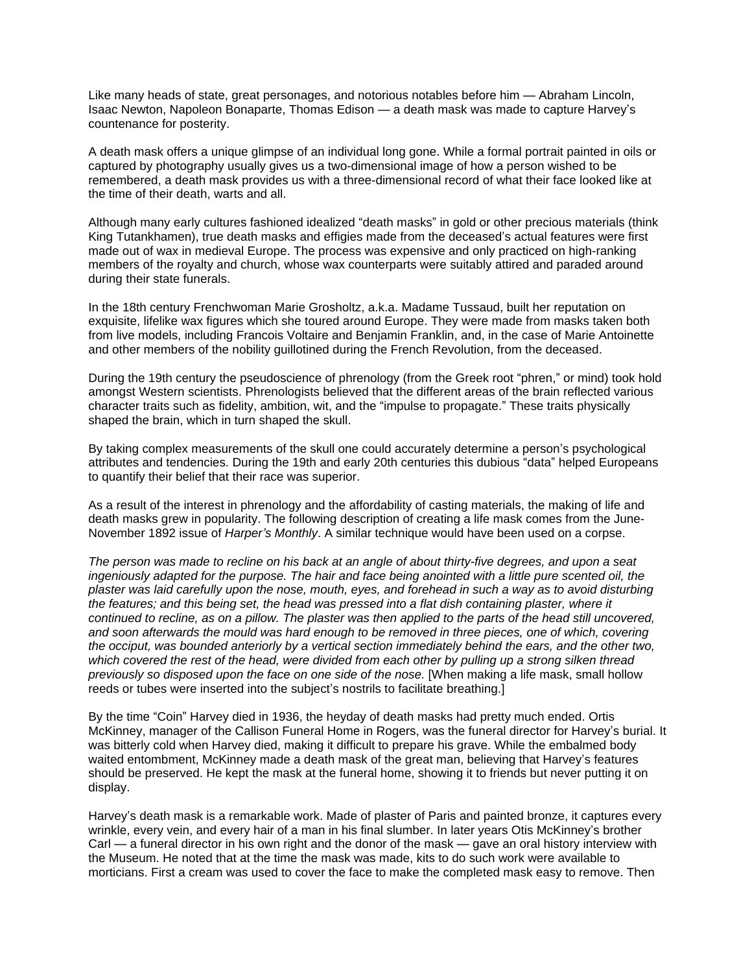Like many heads of state, great personages, and notorious notables before him — Abraham Lincoln, Isaac Newton, Napoleon Bonaparte, Thomas Edison — a death mask was made to capture Harvey's countenance for posterity.

A death mask offers a unique glimpse of an individual long gone. While a formal portrait painted in oils or captured by photography usually gives us a two-dimensional image of how a person wished to be remembered, a death mask provides us with a three-dimensional record of what their face looked like at the time of their death, warts and all.

Although many early cultures fashioned idealized "death masks" in gold or other precious materials (think King Tutankhamen), true death masks and effigies made from the deceased's actual features were first made out of wax in medieval Europe. The process was expensive and only practiced on high-ranking members of the royalty and church, whose wax counterparts were suitably attired and paraded around during their state funerals.

In the 18th century Frenchwoman Marie Grosholtz, a.k.a. Madame Tussaud, built her reputation on exquisite, lifelike wax figures which she toured around Europe. They were made from masks taken both from live models, including Francois Voltaire and Benjamin Franklin, and, in the case of Marie Antoinette and other members of the nobility guillotined during the French Revolution, from the deceased.

During the 19th century the pseudoscience of phrenology (from the Greek root "phren," or mind) took hold amongst Western scientists. Phrenologists believed that the different areas of the brain reflected various character traits such as fidelity, ambition, wit, and the "impulse to propagate." These traits physically shaped the brain, which in turn shaped the skull.

By taking complex measurements of the skull one could accurately determine a person's psychological attributes and tendencies. During the 19th and early 20th centuries this dubious "data" helped Europeans to quantify their belief that their race was superior.

As a result of the interest in phrenology and the affordability of casting materials, the making of life and death masks grew in popularity. The following description of creating a life mask comes from the June-November 1892 issue of *Harper's Monthly*. A similar technique would have been used on a corpse.

*The person was made to recline on his back at an angle of about thirty-five degrees, and upon a seat ingeniously adapted for the purpose. The hair and face being anointed with a little pure scented oil, the plaster was laid carefully upon the nose, mouth, eyes, and forehead in such a way as to avoid disturbing the features; and this being set, the head was pressed into a flat dish containing plaster, where it continued to recline, as on a pillow. The plaster was then applied to the parts of the head still uncovered, and soon afterwards the mould was hard enough to be removed in three pieces, one of which, covering the occiput, was bounded anteriorly by a vertical section immediately behind the ears, and the other two, which covered the rest of the head, were divided from each other by pulling up a strong silken thread previously so disposed upon the face on one side of the nose.* [When making a life mask, small hollow reeds or tubes were inserted into the subject's nostrils to facilitate breathing.]

By the time "Coin" Harvey died in 1936, the heyday of death masks had pretty much ended. Ortis McKinney, manager of the Callison Funeral Home in Rogers, was the funeral director for Harvey's burial. It was bitterly cold when Harvey died, making it difficult to prepare his grave. While the embalmed body waited entombment, McKinney made a death mask of the great man, believing that Harvey's features should be preserved. He kept the mask at the funeral home, showing it to friends but never putting it on display.

Harvey's death mask is a remarkable work. Made of plaster of Paris and painted bronze, it captures every wrinkle, every vein, and every hair of a man in his final slumber. In later years Otis McKinney's brother Carl — a funeral director in his own right and the donor of the mask — gave an oral history interview with the Museum. He noted that at the time the mask was made, kits to do such work were available to morticians. First a cream was used to cover the face to make the completed mask easy to remove. Then